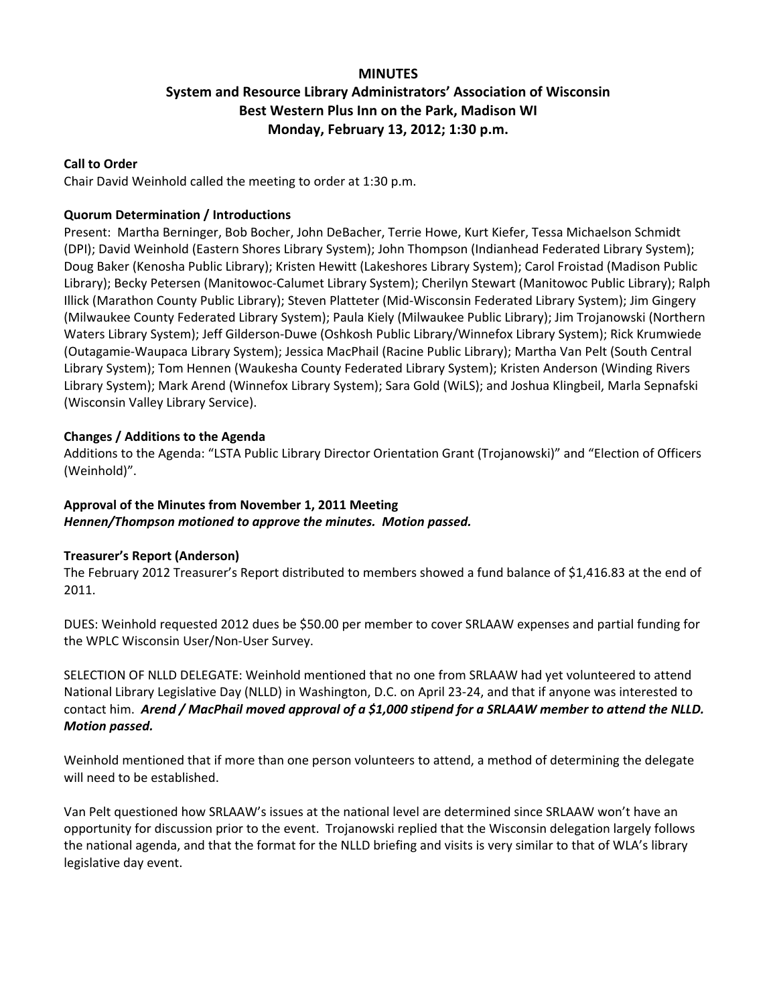## **MINUTES**

# **System and Resource Library Administrators' Association of Wisconsin Best Western Plus Inn on the Park, Madison WI Monday, February 13, 2012; 1:30 p.m.**

#### **Call to Order**

Chair David Weinhold called the meeting to order at 1:30 p.m.

### **Quorum Determination / Introductions**

Present: Martha Berninger, Bob Bocher, John DeBacher, Terrie Howe, Kurt Kiefer, Tessa Michaelson Schmidt (DPI); David Weinhold (Eastern Shores Library System); John Thompson (Indianhead Federated Library System); Doug Baker (Kenosha Public Library); Kristen Hewitt (Lakeshores Library System); Carol Froistad (Madison Public Library); Becky Petersen (Manitowoc‐Calumet Library System); Cherilyn Stewart (Manitowoc Public Library); Ralph Illick (Marathon County Public Library); Steven Platteter (Mid‐Wisconsin Federated Library System); Jim Gingery (Milwaukee County Federated Library System); Paula Kiely (Milwaukee Public Library); Jim Trojanowski (Northern Waters Library System); Jeff Gilderson‐Duwe (Oshkosh Public Library/Winnefox Library System); Rick Krumwiede (Outagamie‐Waupaca Library System); Jessica MacPhail (Racine Public Library); Martha Van Pelt (South Central Library System); Tom Hennen (Waukesha County Federated Library System); Kristen Anderson (Winding Rivers Library System); Mark Arend (Winnefox Library System); Sara Gold (WiLS); and Joshua Klingbeil, Marla Sepnafski (Wisconsin Valley Library Service).

## **Changes / Additions to the Agenda**

Additions to the Agenda: "LSTA Public Library Director Orientation Grant (Trojanowski)" and "Election of Officers (Weinhold)".

## **Approval of the Minutes from November 1, 2011 Meeting** *Hennen/Thompson motioned to approve the minutes. Motion passed.*

### **Treasurer's Report (Anderson)**

The February 2012 Treasurer's Report distributed to members showed a fund balance of \$1,416.83 at the end of 2011.

DUES: Weinhold requested 2012 dues be \$50.00 per member to cover SRLAAW expenses and partial funding for the WPLC Wisconsin User/Non‐User Survey.

SELECTION OF NLLD DELEGATE: Weinhold mentioned that no one from SRLAAW had yet volunteered to attend National Library Legislative Day (NLLD) in Washington, D.C. on April 23‐24, and that if anyone was interested to contact him. Arend / MacPhail moved approval of a \$1,000 stipend for a SRLAAW member to attend the NLLD. *Motion passed.*

Weinhold mentioned that if more than one person volunteers to attend, a method of determining the delegate will need to be established.

Van Pelt questioned how SRLAAW's issues at the national level are determined since SRLAAW won't have an opportunity for discussion prior to the event. Trojanowski replied that the Wisconsin delegation largely follows the national agenda, and that the format for the NLLD briefing and visits is very similar to that of WLA's library legislative day event.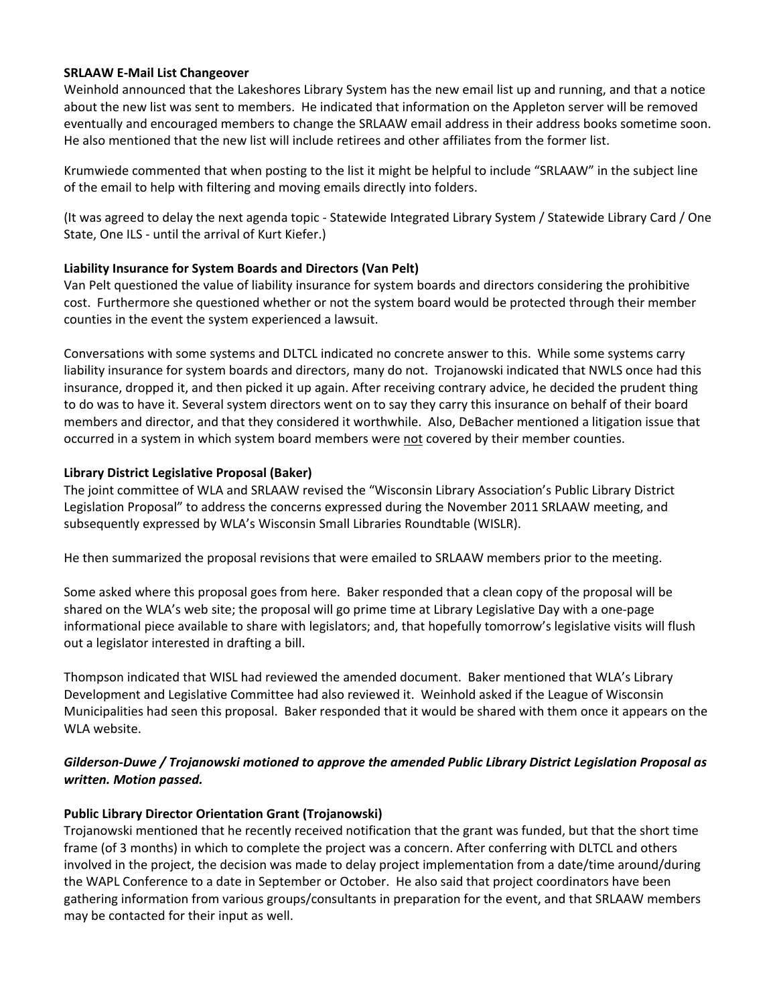### **SRLAAW E‐Mail List Changeover**

Weinhold announced that the Lakeshores Library System has the new email list up and running, and that a notice about the new list was sent to members. He indicated that information on the Appleton server will be removed eventually and encouraged members to change the SRLAAW email address in their address books sometime soon. He also mentioned that the new list will include retirees and other affiliates from the former list.

Krumwiede commented that when posting to the list it might be helpful to include "SRLAAW" in the subject line of the email to help with filtering and moving emails directly into folders.

(It was agreed to delay the next agenda topic ‐ Statewide Integrated Library System / Statewide Library Card / One State, One ILS ‐ until the arrival of Kurt Kiefer.)

### **Liability Insurance for System Boards and Directors (Van Pelt)**

Van Pelt questioned the value of liability insurance for system boards and directors considering the prohibitive cost. Furthermore she questioned whether or not the system board would be protected through their member counties in the event the system experienced a lawsuit.

Conversations with some systems and DLTCL indicated no concrete answer to this. While some systems carry liability insurance for system boards and directors, many do not. Trojanowski indicated that NWLS once had this insurance, dropped it, and then picked it up again. After receiving contrary advice, he decided the prudent thing to do was to have it. Several system directors went on to say they carry this insurance on behalf of their board members and director, and that they considered it worthwhile. Also, DeBacher mentioned a litigation issue that occurred in a system in which system board members were not covered by their member counties.

#### **Library District Legislative Proposal (Baker)**

The joint committee of WLA and SRLAAW revised the "Wisconsin Library Association's Public Library District Legislation Proposal" to address the concerns expressed during the November 2011 SRLAAW meeting, and subsequently expressed by WLA's Wisconsin Small Libraries Roundtable (WISLR).

He then summarized the proposal revisions that were emailed to SRLAAW members prior to the meeting.

Some asked where this proposal goes from here. Baker responded that a clean copy of the proposal will be shared on the WLA's web site; the proposal will go prime time at Library Legislative Day with a one‐page informational piece available to share with legislators; and, that hopefully tomorrow's legislative visits will flush out a legislator interested in drafting a bill.

Thompson indicated that WISL had reviewed the amended document. Baker mentioned that WLA's Library Development and Legislative Committee had also reviewed it. Weinhold asked if the League of Wisconsin Municipalities had seen this proposal. Baker responded that it would be shared with them once it appears on the WLA website.

## *Gilderson‐Duwe / Trojanowski motioned to approve the amended Public Library District Legislation Proposal as written. Motion passed.*

### **Public Library Director Orientation Grant (Trojanowski)**

Trojanowski mentioned that he recently received notification that the grant was funded, but that the short time frame (of 3 months) in which to complete the project was a concern. After conferring with DLTCL and others involved in the project, the decision was made to delay project implementation from a date/time around/during the WAPL Conference to a date in September or October. He also said that project coordinators have been gathering information from various groups/consultants in preparation for the event, and that SRLAAW members may be contacted for their input as well.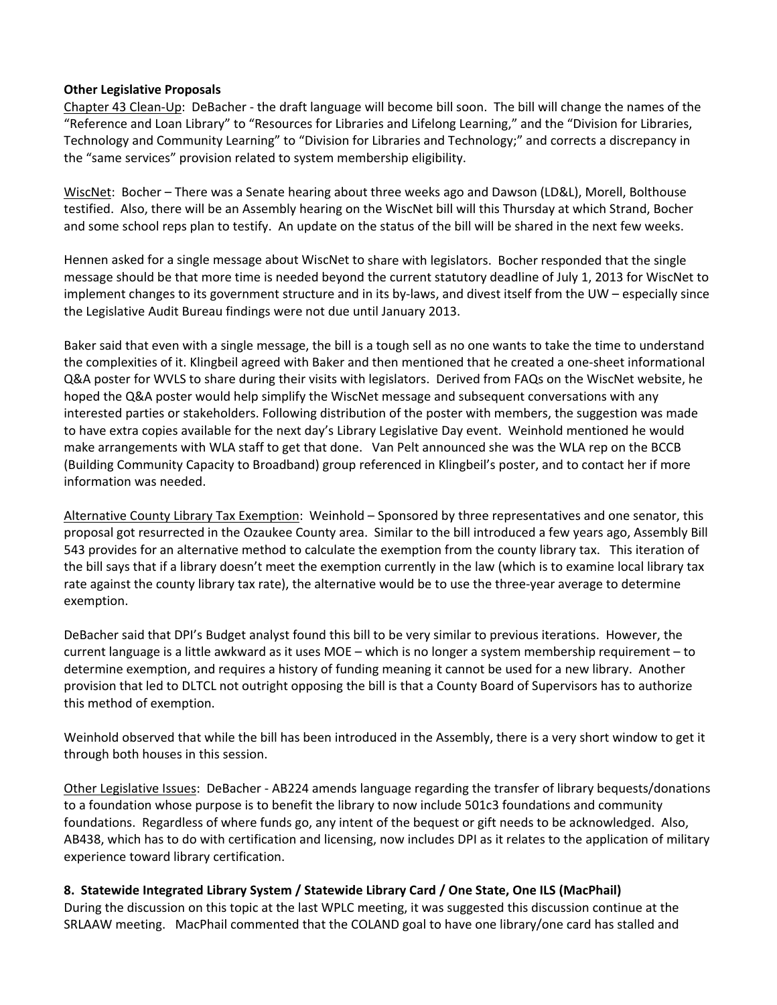### **Other Legislative Proposals**

Chapter 43 Clean‐Up: DeBacher ‐ the draft language will become bill soon. The bill will change the names of the "Reference and Loan Library" to "Resources for Libraries and Lifelong Learning," and the "Division for Libraries, Technology and Community Learning" to "Division for Libraries and Technology;" and corrects a discrepancy in the "same services" provision related to system membership eligibility.

WiscNet: Bocher – There was a Senate hearing about three weeks ago and Dawson (LD&L), Morell, Bolthouse testified. Also, there will be an Assembly hearing on the WiscNet bill will this Thursday at which Strand, Bocher and some school reps plan to testify. An update on the status of the bill will be shared in the next few weeks.

Hennen asked for a single message about WiscNet to share with legislators. Bocher responded that the single message should be that more time is needed beyond the current statutory deadline of July 1, 2013 for WiscNet to implement changes to its government structure and in its by-laws, and divest itself from the UW – especially since the Legislative Audit Bureau findings were not due until January 2013.

Baker said that even with a single message, the bill is a tough sell as no one wants to take the time to understand the complexities of it. Klingbeil agreed with Baker and then mentioned that he created a one‐sheet informational Q&A poster for WVLS to share during their visits with legislators. Derived from FAQs on the WiscNet website, he hoped the Q&A poster would help simplify the WiscNet message and subsequent conversations with any interested parties or stakeholders. Following distribution of the poster with members, the suggestion was made to have extra copies available for the next day's Library Legislative Day event. Weinhold mentioned he would make arrangements with WLA staff to get that done. Van Pelt announced she was the WLA rep on the BCCB (Building Community Capacity to Broadband) group referenced in Klingbeil's poster, and to contact her if more information was needed.

Alternative County Library Tax Exemption: Weinhold – Sponsored by three representatives and one senator, this proposal got resurrected in the Ozaukee County area. Similar to the bill introduced a few years ago, Assembly Bill 543 provides for an alternative method to calculate the exemption from the county library tax. This iteration of the bill says that if a library doesn't meet the exemption currently in the law (which is to examine local library tax rate against the county library tax rate), the alternative would be to use the three-year average to determine exemption.

DeBacher said that DPI's Budget analyst found this bill to be very similar to previous iterations. However, the current language is a little awkward as it uses MOE – which is no longer a system membership requirement – to determine exemption, and requires a history of funding meaning it cannot be used for a new library. Another provision that led to DLTCL not outright opposing the bill is that a County Board of Supervisors has to authorize this method of exemption.

Weinhold observed that while the bill has been introduced in the Assembly, there is a very short window to get it through both houses in this session.

Other Legislative Issues: DeBacher ‐ AB224 amends language regarding the transfer of library bequests/donations to a foundation whose purpose is to benefit the library to now include 501c3 foundations and community foundations. Regardless of where funds go, any intent of the bequest or gift needs to be acknowledged. Also, AB438, which has to do with certification and licensing, now includes DPI as it relates to the application of military experience toward library certification.

### **8. Statewide Integrated Library System / Statewide Library Card / One State, One ILS (MacPhail)**

During the discussion on this topic at the last WPLC meeting, it was suggested this discussion continue at the SRLAAW meeting. MacPhail commented that the COLAND goal to have one library/one card has stalled and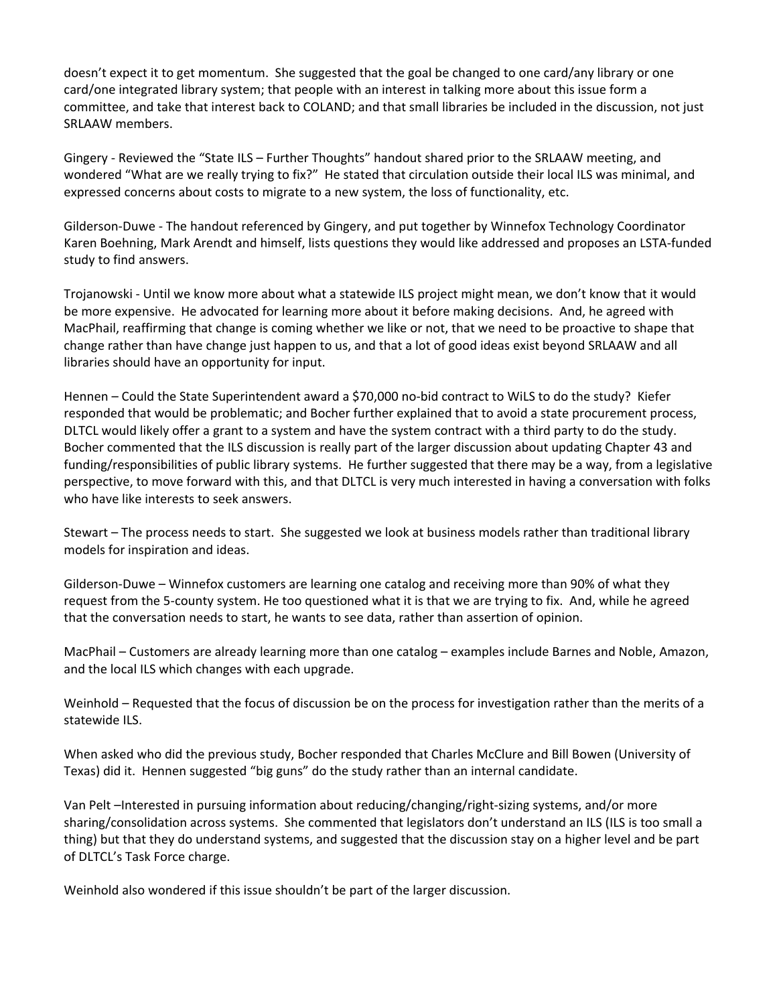doesn't expect it to get momentum. She suggested that the goal be changed to one card/any library or one card/one integrated library system; that people with an interest in talking more about this issue form a committee, and take that interest back to COLAND; and that small libraries be included in the discussion, not just SRLAAW members.

Gingery ‐ Reviewed the "State ILS – Further Thoughts" handout shared prior to the SRLAAW meeting, and wondered "What are we really trying to fix?" He stated that circulation outside their local ILS was minimal, and expressed concerns about costs to migrate to a new system, the loss of functionality, etc.

Gilderson‐Duwe ‐ The handout referenced by Gingery, and put together by Winnefox Technology Coordinator Karen Boehning, Mark Arendt and himself, lists questions they would like addressed and proposes an LSTA‐funded study to find answers.

Trojanowski ‐ Until we know more about what a statewide ILS project might mean, we don't know that it would be more expensive. He advocated for learning more about it before making decisions. And, he agreed with MacPhail, reaffirming that change is coming whether we like or not, that we need to be proactive to shape that change rather than have change just happen to us, and that a lot of good ideas exist beyond SRLAAW and all libraries should have an opportunity for input.

Hennen – Could the State Superintendent award a \$70,000 no‐bid contract to WiLS to do the study? Kiefer responded that would be problematic; and Bocher further explained that to avoid a state procurement process, DLTCL would likely offer a grant to a system and have the system contract with a third party to do the study. Bocher commented that the ILS discussion is really part of the larger discussion about updating Chapter 43 and funding/responsibilities of public library systems. He further suggested that there may be a way, from a legislative perspective, to move forward with this, and that DLTCL is very much interested in having a conversation with folks who have like interests to seek answers.

Stewart – The process needs to start. She suggested we look at business models rather than traditional library models for inspiration and ideas.

Gilderson‐Duwe – Winnefox customers are learning one catalog and receiving more than 90% of what they request from the 5‐county system. He too questioned what it is that we are trying to fix. And, while he agreed that the conversation needs to start, he wants to see data, rather than assertion of opinion.

MacPhail – Customers are already learning more than one catalog – examples include Barnes and Noble, Amazon, and the local ILS which changes with each upgrade.

Weinhold – Requested that the focus of discussion be on the process for investigation rather than the merits of a statewide ILS.

When asked who did the previous study, Bocher responded that Charles McClure and Bill Bowen (University of Texas) did it. Hennen suggested "big guns" do the study rather than an internal candidate.

Van Pelt –Interested in pursuing information about reducing/changing/right‐sizing systems, and/or more sharing/consolidation across systems. She commented that legislators don't understand an ILS (ILS is too small a thing) but that they do understand systems, and suggested that the discussion stay on a higher level and be part of DLTCL's Task Force charge.

Weinhold also wondered if this issue shouldn't be part of the larger discussion.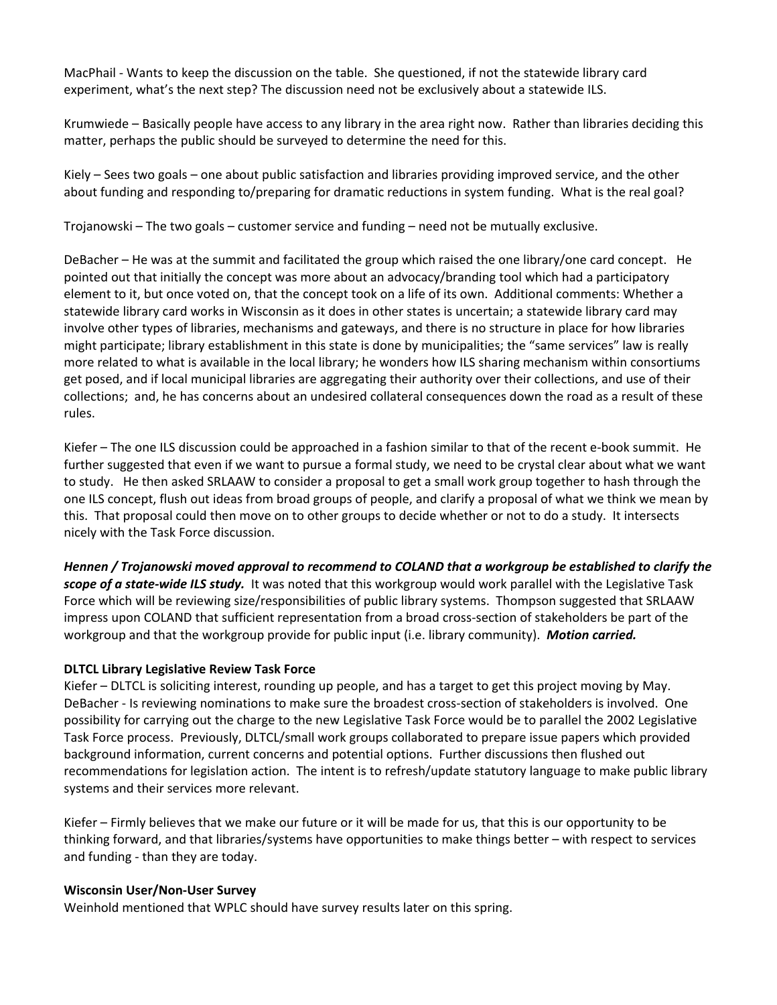MacPhail ‐ Wants to keep the discussion on the table. She questioned, if not the statewide library card experiment, what's the next step? The discussion need not be exclusively about a statewide ILS.

Krumwiede – Basically people have access to any library in the area right now. Rather than libraries deciding this matter, perhaps the public should be surveyed to determine the need for this.

Kiely – Sees two goals – one about public satisfaction and libraries providing improved service, and the other about funding and responding to/preparing for dramatic reductions in system funding. What is the real goal?

Trojanowski – The two goals – customer service and funding – need not be mutually exclusive.

DeBacher – He was at the summit and facilitated the group which raised the one library/one card concept. He pointed out that initially the concept was more about an advocacy/branding tool which had a participatory element to it, but once voted on, that the concept took on a life of its own. Additional comments: Whether a statewide library card works in Wisconsin as it does in other states is uncertain; a statewide library card may involve other types of libraries, mechanisms and gateways, and there is no structure in place for how libraries might participate; library establishment in this state is done by municipalities; the "same services" law is really more related to what is available in the local library; he wonders how ILS sharing mechanism within consortiums get posed, and if local municipal libraries are aggregating their authority over their collections, and use of their collections; and, he has concerns about an undesired collateral consequences down the road as a result of these rules.

Kiefer – The one ILS discussion could be approached in a fashion similar to that of the recent e-book summit. He further suggested that even if we want to pursue a formal study, we need to be crystal clear about what we want to study. He then asked SRLAAW to consider a proposal to get a small work group together to hash through the one ILS concept, flush out ideas from broad groups of people, and clarify a proposal of what we think we mean by this. That proposal could then move on to other groups to decide whether or not to do a study. It intersects nicely with the Task Force discussion.

*Hennen / Trojanowski moved approval to recommend to COLAND that a workgroup be established to clarify the scope of a state‐wide ILS study.* It was noted that this workgroup would work parallel with the Legislative Task Force which will be reviewing size/responsibilities of public library systems. Thompson suggested that SRLAAW impress upon COLAND that sufficient representation from a broad cross-section of stakeholders be part of the workgroup and that the workgroup provide for public input (i.e. library community). *Motion carried.*

## **DLTCL Library Legislative Review Task Force**

Kiefer – DLTCL is soliciting interest, rounding up people, and has a target to get this project moving by May. DeBacher - Is reviewing nominations to make sure the broadest cross-section of stakeholders is involved. One possibility for carrying out the charge to the new Legislative Task Force would be to parallel the 2002 Legislative Task Force process. Previously, DLTCL/small work groups collaborated to prepare issue papers which provided background information, current concerns and potential options. Further discussions then flushed out recommendations for legislation action. The intent is to refresh/update statutory language to make public library systems and their services more relevant.

Kiefer – Firmly believes that we make our future or it will be made for us, that this is our opportunity to be thinking forward, and that libraries/systems have opportunities to make things better – with respect to services and funding ‐ than they are today.

### **Wisconsin User/Non‐User Survey**

Weinhold mentioned that WPLC should have survey results later on this spring.